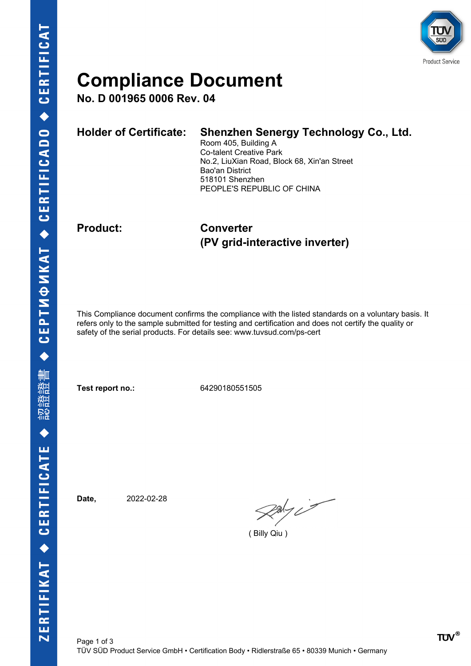

# **Compliance Document**

**No. D 001965 0006 Rev. 04**

| <b>Holder of Certificate:</b> | Shenzhen Senergy Technology Co., Ltd.<br>Room 405, Building A<br><b>Co-talent Creative Park</b><br>No.2, LiuXian Road, Block 68, Xin'an Street<br>Bao'an District<br>518101 Shenzhen |
|-------------------------------|--------------------------------------------------------------------------------------------------------------------------------------------------------------------------------------|
|                               | PEOPLE'S REPUBLIC OF CHINA                                                                                                                                                           |
|                               |                                                                                                                                                                                      |

**Product: Converter (PV grid-interactive inverter)**

This Compliance document confirms the compliance with the listed standards on a voluntary basis. It refers only to the sample submitted for testing and certification and does not certify the quality or safety of the serial products. For details see: www.tuvsud.com/ps-cert

**Test report no.:** 64290180551505

**Date,** 2022-02-28

 $\mathcal{R}$ aly i

( Billy Qiu )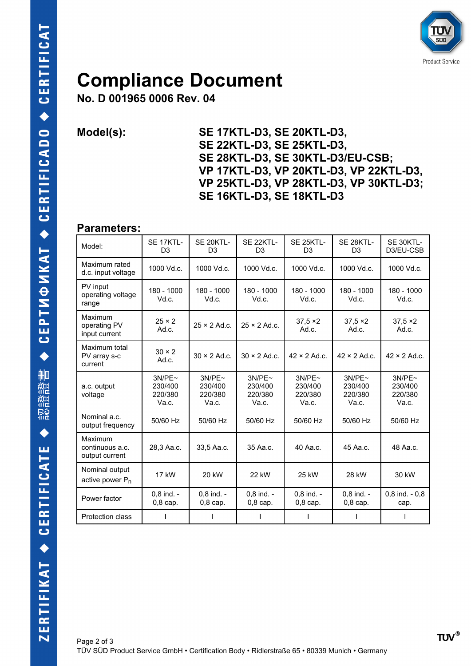

## **Compliance Document**

**No. D 001965 0006 Rev. 04**

**Model(s): SE 17KTL-D3, SE 20KTL-D3, SE 22KTL-D3, SE 25KTL-D3, SE 28KTL-D3, SE 30KTL-D3/EU-CSB; VP 17KTL-D3, VP 20KTL-D3, VP 22KTL-D3, VP 25KTL-D3, VP 28KTL-D3, VP 30KTL-D3; SE 16KTL-D3, SE 18KTL-D3**

#### **Parameters:**

| Model:                                        | SE 17KTL-<br>D <sub>3</sub>           | SE 20KTL-<br>D <sub>3</sub>           | SE 22KTL-<br>D <sub>3</sub>           | SE 25KTL-<br>D <sub>3</sub>           | SE 28KTL-<br>D <sub>3</sub>           | SE 30KTL-<br>D3/EU-CSB                |
|-----------------------------------------------|---------------------------------------|---------------------------------------|---------------------------------------|---------------------------------------|---------------------------------------|---------------------------------------|
| Maximum rated<br>d.c. input voltage           | 1000 Vd.c.                            | 1000 Vd.c.                            | 1000 Vd.c.                            | 1000 Vd.c.                            | 1000 Vd.c.                            | 1000 Vd.c.                            |
| PV input<br>operating voltage<br>range        | 180 - 1000<br>Vd.c.                   | 180 - 1000<br>Vd.c.                   | 180 - 1000<br>Vd.c.                   | 180 - 1000<br>Vd.c.                   | 180 - 1000<br>Vd.c.                   | 180 - 1000<br>Vd.c.                   |
| Maximum<br>operating PV<br>input current      | $25 \times 2$<br>Ad.c.                | $25 \times 2$ Ad.c.                   | $25 \times 2$ Ad.c.                   | $37,5 \times 2$<br>Ad.c.              | $37.5 \times 2$<br>Ad.c.              | $37,5 \times 2$<br>Ad.c.              |
| Maximum total<br>PV array s-c<br>current      | $30 \times 2$<br>Ad.c.                | $30 \times 2$ Ad.c.                   | $30 \times 2$ Ad.c.                   | $42 \times 2$ Ad.c.                   | $42 \times 2$ Ad.c.                   | $42 \times 2$ Ad.c.                   |
| a.c. output<br>voltage                        | 3N/PE~<br>230/400<br>220/380<br>Va.c. | 3N/PE~<br>230/400<br>220/380<br>Va.c. | 3N/PE~<br>230/400<br>220/380<br>Va.c. | 3N/PE~<br>230/400<br>220/380<br>Va.c. | 3N/PE~<br>230/400<br>220/380<br>Va.c. | 3N/PE~<br>230/400<br>220/380<br>Va.c. |
| Nominal a.c.<br>output frequency              | 50/60 Hz                              | 50/60 Hz                              | 50/60 Hz                              | 50/60 Hz                              | 50/60 Hz                              | 50/60 Hz                              |
| Maximum<br>continuous a.c.<br>output current  | 28.3 Aa.c.                            | 33,5 Aa.c.                            | 35 Aa.c.                              | 40 Aa.c.                              | 45 Aa.c.                              | 48 Aa.c.                              |
| Nominal output<br>active power P <sub>n</sub> | 17 kW                                 | 20 kW                                 | 22 kW                                 | 25 kW                                 | 28 kW                                 | 30 kW                                 |
| Power factor                                  | $0.8$ ind. -<br>$0,8$ cap.            | $0.8$ ind. -<br>$0,8$ cap.            | $0.8$ ind. -<br>$0,8$ cap.            | $0.8$ ind. -<br>$0,8$ cap.            | $0.8$ ind. -<br>$0,8$ cap.            | $0,8$ ind. - $0,8$<br>cap.            |
| Protection class                              |                                       |                                       |                                       |                                       |                                       |                                       |